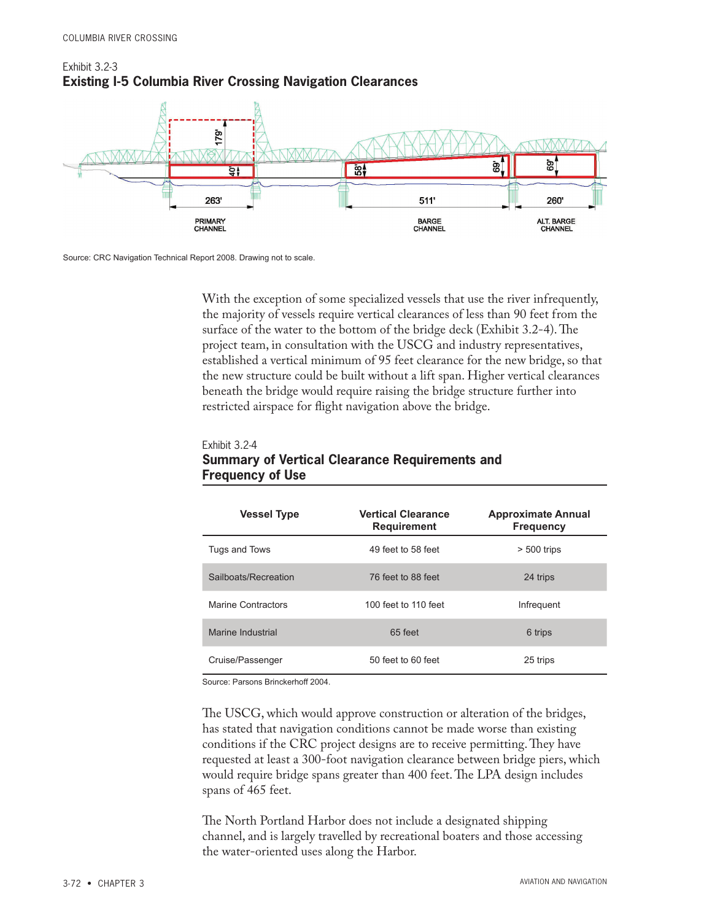



## Source: CRC Navigation Technical Report 2008. Drawing not to scale.

Exhibit 3.2-4

With the exception of some specialized vessels that use the river infrequently, the majority of vessels require vertical clearances of less than 90 feet from the surface of the water to the bottom of the bridge deck (Exhibit 3.2-4). The project team, in consultation with the USCG and industry representatives, established a vertical minimum of 95 feet clearance for the new bridge, so that the new structure could be built without a lift span. Higher vertical clearances beneath the bridge would require raising the bridge structure further into restricted airspace for flight navigation above the bridge.

## **Summary of Vertical Clearance Requirements and Frequency of Use Vessel Type Vertical Clearance Requirement Frequency** Tugs and Tows **49 feet to 58 feet**  $\ge$  500 trips Sailboats/Recreation 76 feet to 88 feet 24 trips

| <b>Vessel Type</b>        | <b>Vertical Clearance</b><br><b>Requirement</b> | <b>Approximate Annual</b><br><b>Frequency</b> |
|---------------------------|-------------------------------------------------|-----------------------------------------------|
| Tugs and Tows             | 49 feet to 58 feet                              | $> 500$ trips                                 |
| Sailboats/Recreation      | 76 feet to 88 feet                              | 24 trips                                      |
| <b>Marine Contractors</b> | 100 feet to 110 feet                            | Infrequent                                    |
| Marine Industrial         | 65 feet                                         | 6 trips                                       |
| Cruise/Passenger          | 50 feet to 60 feet                              | 25 trips                                      |

Source: Parsons Brinckerhoff 2004.

The USCG, which would approve construction or alteration of the bridges, has stated that navigation conditions cannot be made worse than existing conditions if the CRC project designs are to receive permitting. They have requested at least a 300-foot navigation clearance between bridge piers, which would require bridge spans greater than 400 feet. The LPA design includes spans of 465 feet.

The North Portland Harbor does not include a designated shipping channel, and is largely travelled by recreational boaters and those accessing the water-oriented uses along the Harbor.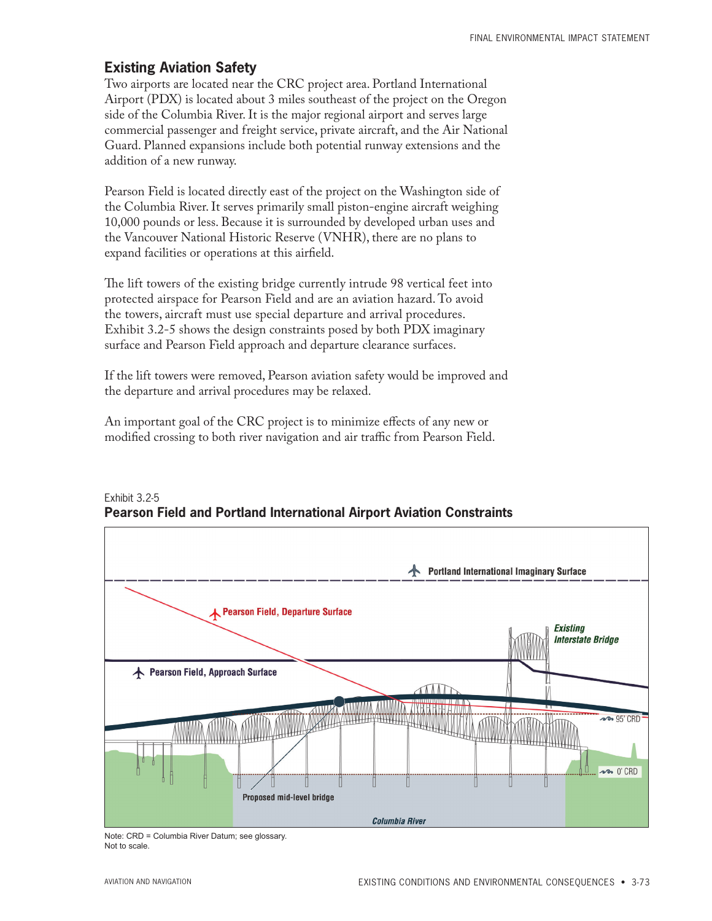## **Existing Aviation Safety**

Two airports are located near the CRC project area. Portland International Airport (PDX) is located about 3 miles southeast of the project on the Oregon side of the Columbia River. It is the major regional airport and serves large commercial passenger and freight service, private aircraft, and the Air National Guard. Planned expansions include both potential runway extensions and the addition of a new runway.

Pearson Field is located directly east of the project on the Washington side of the Columbia River. It serves primarily small piston-engine aircraft weighing 10,000 pounds or less. Because it is surrounded by developed urban uses and the Vancouver National Historic Reserve (VNHR), there are no plans to expand facilities or operations at this airfield.

The lift towers of the existing bridge currently intrude 98 vertical feet into protected airspace for Pearson Field and are an aviation hazard. To avoid the towers, aircraft must use special departure and arrival procedures. Exhibit 3.2-5 shows the design constraints posed by both PDX imaginary surface and Pearson Field approach and departure clearance surfaces.

If the lift towers were removed, Pearson aviation safety would be improved and the departure and arrival procedures may be relaxed.

An important goal of the CRC project is to minimize effects of any new or modified crossing to both river navigation and air traffic from Pearson Field.



Exhibit 3.2-5 **Pearson Field and Portland International Airport Aviation Constraints**

Note: CRD = Columbia River Datum; see glossary. Not to scale.